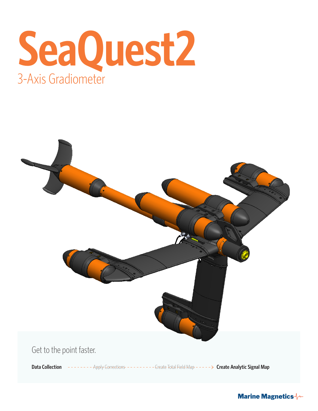



**Marine Magnetics**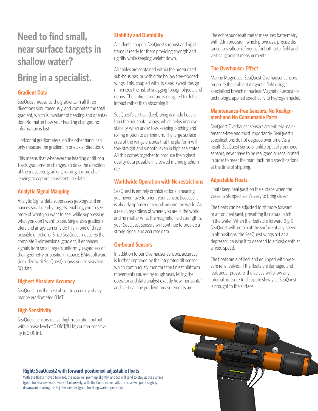# **Need to find small, near surface targets in shallow water?**

# **Bring in a specialist.**

## **Gradient Data**

SeaQuest measures the gradients in all three directions simultaneously, and computes the total gradient, which is invariant of heading and orientation. No matter how your heading changes, no information is lost.

Horizontal gradiometers, on the other hand, can only measure the gradient in one axis (direction).

This means that whenever the heading or tilt of a 1-axis gradiometer changes, so does the direction of the measured gradient, making it more challenging to capture consistent line data.

### **Analytic Signal Mapping**

Analytic Signal data suppresses geology and enhances small nearby targets, enabling you to see more of what you want to see, while suppressing what you don't want to see. Single-axis gradiometers and arrays can only do this in one of three possible directions. Since SeaQuest measures the complete 3-dimensional gradient, it enhances signals from small targets uniformly, regardless of their geometry or position in space. BAM software (included with SeaQuest) allows you to visualise SQ data.

### **Highest Absolute Accuracy**

SeaQuest has the best absolute accuracy of any marine gradiometer: 0.1nT.

### **High Sensitivity**

SeaQuest sensors deliver high-resolution output with a noise level of 0.01nT/fflHz; counter sensitivity is 0.001nT.

## **Stability and Durability**

Accidents happen. SeaQuest's robust and rigid frame is ready for them providing strength and rigidity while keeping weight down.

All cables are contained within the pressurized sub-housings, or within the hollow free-flooded wings. This, coupled with its sleek, swept design minimizes the risk of snagging foreign objects and debris. The entire structure is designed to deflect impact rather than absorbing it.

SeaQuest's vertical (keel) wing is made heavier than the horizontal wings, which helps improve stability when under tow, keeping pitching and rolling motion to a minimum. The large surface area of the wings ensures that the platform will tow straight and smooth, even in high sea states. All this comes together to produce the highest quality data possible in a towed marine gradiometer.

### **Worldwide Operation with No restrictions**

SeaQuest is entirely omnidirectional, meaning you never have to orient your sensor, because it is already optimized to work around the world. As a result, regardless of where you are in the world and no matter what the magnetic field strength is, your SeaQuest sensors will continue to provide a strong signal and accurate data.

### **On-board Sensors**

In addition to our Overhauser sensors, accuracy is further improved by the integrated tilt sensor, which continuously monitors the tiniest platform movements caused by rough seas, telling the operator and data analyst exactly how 'horizontal' and 'vertical' the gradient measurements are.

The echosounder/altimeter measures bathymetry with 0.1m precision, which provides a precise distance to seafloor reference for both total field and vertical gradient measurements.

## **The Overhauser Effect**

Marine Magnetics' SeaQuest Overhauser sensors measure the ambient magnetic field using a specialized branch of nuclear Magnetic Resonance technology, applied specifically to hydrogen nuclei.

# **Maintenance-free Sensors, No Realign- ment and No Consumable Parts**

SeaQuest Overhauser sensors are entirely maintenance-free and most importantly, SeaQuest's specifications do not degrade over time. As a result, SeaQuest sensors, unlike optically pumped sensors, never have to be realigned or recalibrated in order to meet the manufacturer's specifications at the time of shipping.

### **Adjustable Floats**

Floats keep SeaQuest on the surface when the vessel is stopped, so it's easy to bring closer.

The floats can be adjusted to sit more forward or aft on SeaQuest, presetting its natural pitch in the water. When the floats are forward (fig 1), SeaQuest will remain at the surface at any speed. In aft positions, the SeaQuest wings act as a depressor, causing it to descend to a fixed depth at a fixed speed.

The floats are air-filled, and equipped with pressure relief valves. If the floats are damaged and leak under pressure, the valves will allow any internal pressure to dissipate slowly as SeaQuest is brought to the surface.

### **Right: SeaQuest2 with forward-positioned adjustable floats**

With the floats moved forward, the nose will point up slightly, and SQ will tend to stay at the surface (good for shallow water work). Conversely, with the floats moved aft, the nose will point slightly downward, making the SQ dive deeper (good for deep water operation).

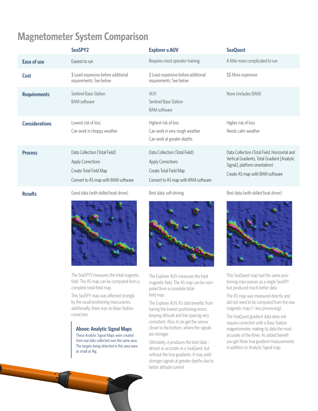# **Magnetometer System Comparison**

|                       | SeaSPY2                                                                                                                    | <b>Explorer v.AUV</b>                                                                                                      | <b>SeaQuest</b>                                                                                                                                                   |
|-----------------------|----------------------------------------------------------------------------------------------------------------------------|----------------------------------------------------------------------------------------------------------------------------|-------------------------------------------------------------------------------------------------------------------------------------------------------------------|
| <b>Ease of use</b>    | <b>Easiest to run</b>                                                                                                      | Requires most operator training                                                                                            | A little more complicated to run                                                                                                                                  |
| <b>Cost</b>           | \$ Least expensive before additional<br>requirements. See below                                                            | \$ Least expensive before additional<br>requirements. See below                                                            | \$\$ More expensive                                                                                                                                               |
| <b>Requirements</b>   | Sentinel Base Station<br><b>BAM</b> software                                                                               | <b>AUV</b><br>Sentinel Base Station<br><b>BAM</b> software                                                                 | None (includes BAM)                                                                                                                                               |
| <b>Considerations</b> | Lowest risk of loss<br>Can work in choppy weather                                                                          | Highest risk of loss<br>Can work in very rough weather<br>Can work at greater depths                                       | Higher risk of loss<br>Needs calm weather                                                                                                                         |
| <b>Process</b>        | Data Collection (Total Field)<br><b>Apply Corrections</b><br>Create Total Field Map<br>Convert to AS map with BAM software | Data Collection (Total Field)<br><b>Apply Corrections</b><br>Create Total Field Map<br>Convert to AS map with BAM software | Data Collection (Total Field, Horizontal and<br>Vertical Gradients, Total Gradient [Analytic<br>Signal], platform orientation)<br>Create AS map with BAM software |
| <b>Results</b>        | Good data (with skilled boat driver)                                                                                       | Best data; self-driving                                                                                                    | Best data (with skilled boat driver)                                                                                                                              |



The SeaSPY2 measures the total magnetic field. The AS map can be computed from a complete total-field map.

This SeaSPY map was affected strongly by the usual positioning inaccuracies; additionally, there was no Base Station correction.

#### **Above: Analytic Signal Maps**

These Analytic Signal Maps were created from real data collected over the same area. The targets being detected in this area were as small as 1kg.



The Explorer AUV measures the total magnetic field. The AS map can be computed from a complete totalfield map.

The Explorer AUV AS data benefits from having the lowest positioning errors, keeping altitude and line spacing very consistent. Also, it can get the sensor closer to the bottom, where the signals are stronger.

Ultimately, it produces the best data almost as accurate as a SeaQuest, but without the true gradients. It may yield stronger signals at greater depths due to better altitude control



This SeaQuest map had the same positioning inaccuracies as a single SeaSPY but produced much better data.

The AS map was measured directly and did not need to be computed from the raw magnetic map (= less processing).

The SeaQuest gradient data does not require correction with a Base Station magnetometer, making its data the most accurate of the three. As added benefit you get three true gradient measurements in addition to Analytic Signal map.